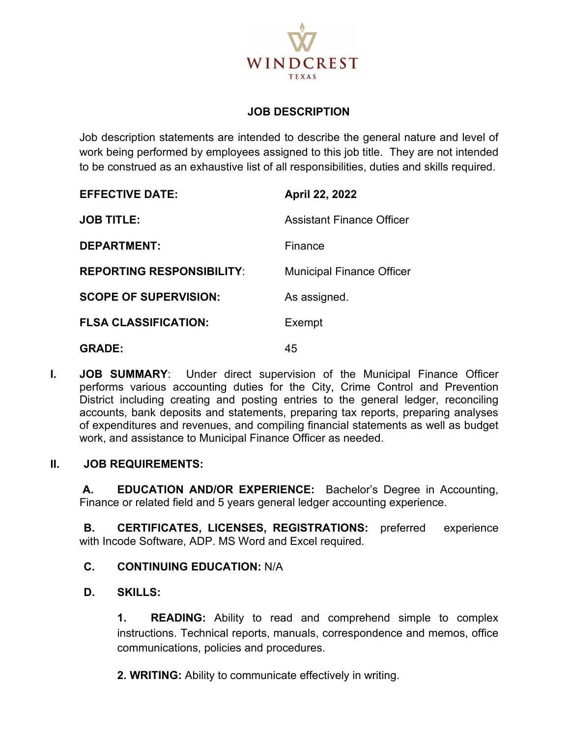

### **JOB DESCRIPTION**

Job description statements are intended to describe the general nature and level of work being performed by employees assigned to this job title. They are not intended to be construed as an exhaustive list of all responsibilities, duties and skills required.

| <b>EFFECTIVE DATE:</b>           | April 22, 2022                   |
|----------------------------------|----------------------------------|
| <b>JOB TITLE:</b>                | <b>Assistant Finance Officer</b> |
| <b>DEPARTMENT:</b>               | Finance                          |
| <b>REPORTING RESPONSIBILITY:</b> | <b>Municipal Finance Officer</b> |
| <b>SCOPE OF SUPERVISION:</b>     | As assigned.                     |
| <b>FLSA CLASSIFICATION:</b>      | Exempt                           |
| <b>GRADE:</b>                    | 45                               |

**I. JOB SUMMARY**: Under direct supervision of the Municipal Finance Officer performs various accounting duties for the City, Crime Control and Prevention District including creating and posting entries to the general ledger, reconciling accounts, bank deposits and statements, preparing tax reports, preparing analyses of expenditures and revenues, and compiling financial statements as well as budget work, and assistance to Municipal Finance Officer as needed.

#### **II. JOB REQUIREMENTS:**

**A. EDUCATION AND/OR EXPERIENCE:** Bachelor's Degree in Accounting, Finance or related field and 5 years general ledger accounting experience.

**B. CERTIFICATES, LICENSES, REGISTRATIONS:** preferred experience with Incode Software, ADP. MS Word and Excel required.

#### **C. CONTINUING EDUCATION:** N/A

#### **D. SKILLS:**

**1. READING:** Ability to read and comprehend simple to complex instructions. Technical reports, manuals, correspondence and memos, office communications, policies and procedures.

 **2. WRITING:** Ability to communicate effectively in writing.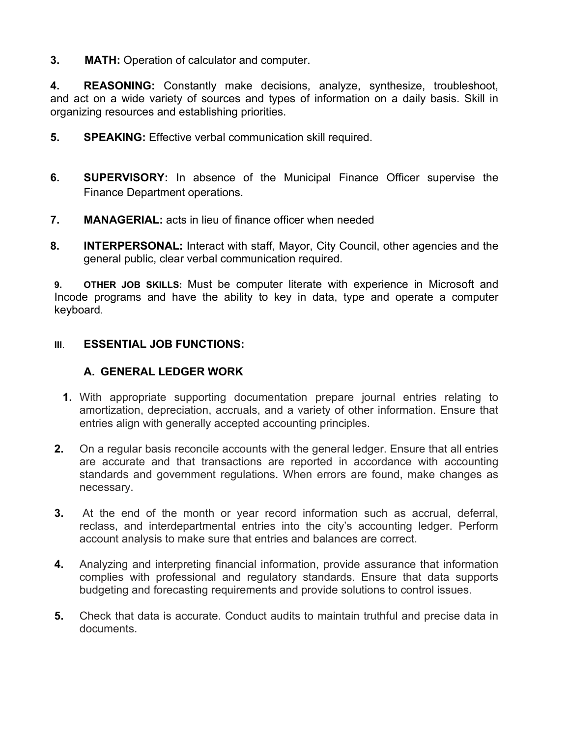**3. MATH:** Operation of calculator and computer.

**4. REASONING:** Constantly make decisions, analyze, synthesize, troubleshoot, and act on a wide variety of sources and types of information on a daily basis. Skill in organizing resources and establishing priorities.

- **5. SPEAKING:** Effective verbal communication skill required.
- **6. SUPERVISORY:** In absence of the Municipal Finance Officer supervise the Finance Department operations.
- **7. MANAGERIAL:** acts in lieu of finance officer when needed
- **8. INTERPERSONAL:** Interact with staff, Mayor, City Council, other agencies and the general public, clear verbal communication required.

**9. OTHER JOB SKILLS:** Must be computer literate with experience in Microsoft and Incode programs and have the ability to key in data, type and operate a computer keyboard.

#### **III**. **ESSENTIAL JOB FUNCTIONS:**

### **A. GENERAL LEDGER WORK**

- **1.** With appropriate supporting documentation prepare journal entries relating to amortization, depreciation, accruals, and a variety of other information. Ensure that entries align with generally accepted accounting principles.
- **2.** On a regular basis reconcile accounts with the general ledger. Ensure that all entries are accurate and that transactions are reported in accordance with accounting standards and government regulations. When errors are found, make changes as necessary.
- **3.** At the end of the month or year record information such as accrual, deferral, reclass, and interdepartmental entries into the city's accounting ledger. Perform account analysis to make sure that entries and balances are correct.
- **4.** Analyzing and interpreting financial information, provide assurance that information complies with professional and regulatory standards. Ensure that data supports budgeting and forecasting requirements and provide solutions to control issues.
- **5.** Check that data is accurate. Conduct audits to maintain truthful and precise data in documents.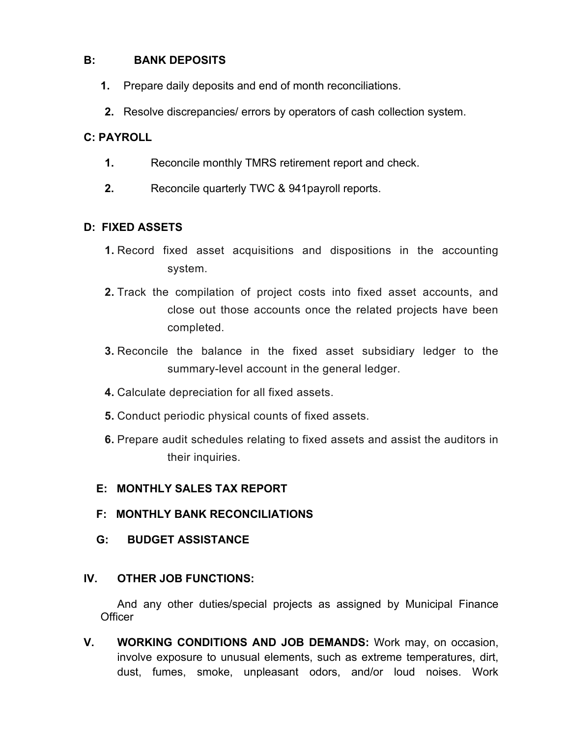## **B: BANK DEPOSITS**

- **1.** Prepare daily deposits and end of month reconciliations.
- **2.** Resolve discrepancies/ errors by operators of cash collection system.

## **C: PAYROLL**

- **1.** Reconcile monthly TMRS retirement report and check.
- **2.** Reconcile quarterly TWC & 941payroll reports.

### **D: FIXED ASSETS**

- **1.** Record fixed asset acquisitions and dispositions in the accounting system.
- **2.** Track the compilation of project costs into fixed asset accounts, and close out those accounts once the related projects have been completed.
- **3.** Reconcile the balance in the fixed asset subsidiary ledger to the summary-level account in the general ledger.
- **4.** Calculate depreciation for all fixed assets.
- **5.** Conduct periodic physical counts of fixed assets.
- **6.** Prepare audit schedules relating to fixed assets and assist the auditors in their inquiries.

## **E: MONTHLY SALES TAX REPORT**

- **F: MONTHLY BANK RECONCILIATIONS**
- **G: BUDGET ASSISTANCE**

## **IV. OTHER JOB FUNCTIONS:**

 And any other duties/special projects as assigned by Municipal Finance **Officer** 

**V. WORKING CONDITIONS AND JOB DEMANDS:** Work may, on occasion, involve exposure to unusual elements, such as extreme temperatures, dirt, dust, fumes, smoke, unpleasant odors, and/or loud noises. Work